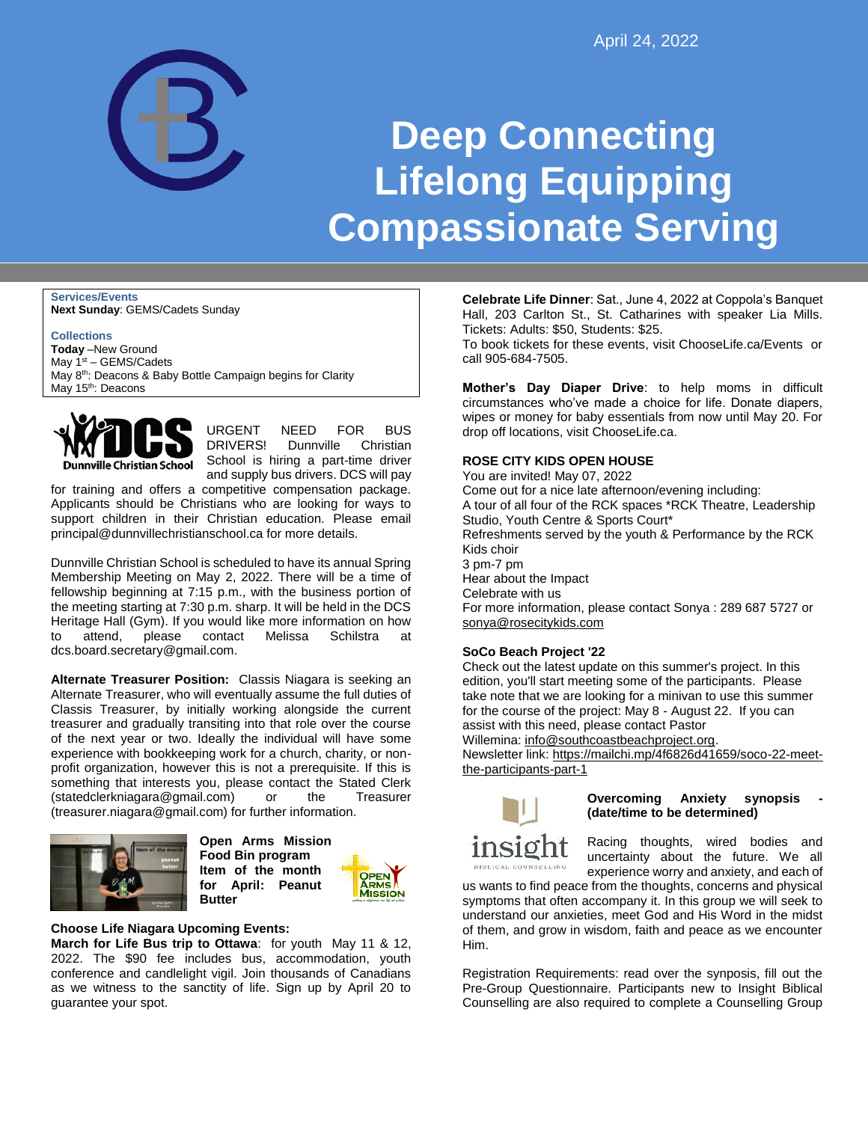

# **Deep Connecting Lifelong Equipping Compassionate Serving**

**Services/Events Next Sunday**: GEMS/Cadets Sunday

**Collections Today** –New Ground May  $1<sup>st</sup> - GEMS/Cadets$ May 8<sup>th</sup>: Deacons & Baby Bottle Campaign begins for Clarity May 15<sup>th</sup>: Deacons



URGENT NEED FOR BUS DRIVERS! Dunnville Christian School is hiring a part-time driver and supply bus drivers. DCS will pay

for training and offers a competitive compensation package. Applicants should be Christians who are looking for ways to support children in their Christian education. Please email principal@dunnvillechristianschool.ca for more details.

Dunnville Christian School is scheduled to have its annual Spring Membership Meeting on May 2, 2022. There will be a time of fellowship beginning at 7:15 p.m., with the business portion of the meeting starting at 7:30 p.m. sharp. It will be held in the DCS Heritage Hall (Gym). If you would like more information on how to attend, please contact Melissa Schilstra at dcs.board.secretary@gmail.com.

**Alternate Treasurer Position:** Classis Niagara is seeking an Alternate Treasurer, who will eventually assume the full duties of Classis Treasurer, by initially working alongside the current treasurer and gradually transiting into that role over the course of the next year or two. Ideally the individual will have some experience with bookkeeping work for a church, charity, or nonprofit organization, however this is not a prerequisite. If this is something that interests you, please contact the Stated Clerk (statedclerkniagara@gmail.com) or the Treasurer (treasurer.niagara@gmail.com) for further information.



**Open Arms Mission Food Bin program Item of the month for April: Peanut Butter**



## **Choose Life Niagara Upcoming Events:**

**March for Life Bus trip to Ottawa**: for youth May 11 & 12, 2022. The \$90 fee includes bus, accommodation, youth conference and candlelight vigil. Join thousands of Canadians as we witness to the sanctity of life. Sign up by April 20 to guarantee your spot.

**Celebrate Life Dinner**: Sat., June 4, 2022 at Coppola's Banquet Hall, 203 Carlton St., St. Catharines with speaker Lia Mills. Tickets: Adults: \$50, Students: \$25.

To book tickets for these events, visit ChooseLife.ca/Events or call 905-684-7505.

**Mother's Day Diaper Drive**: to help moms in difficult circumstances who've made a choice for life. Donate diapers, wipes or money for baby essentials from now until May 20. For drop off locations, visit ChooseLife.ca.

### **ROSE CITY KIDS OPEN HOUSE**

You are invited! May 07, 2022 Come out for a nice late afternoon/evening including: A tour of all four of the RCK spaces \*RCK Theatre, Leadership Studio, Youth Centre & Sports Court\* Refreshments served by the youth & Performance by the RCK Kids choir 3 pm-7 pm Hear about the Impact Celebrate with us For more information, please contact Sonya : 289 687 5727 or [sonya@rosecitykids.com](mailto:sonya@rosecitykids.com)

## **SoCo Beach Project '22**

Check out the latest update on this summer's project. In this edition, you'll start meeting some of the participants. Please take note that we are looking for a minivan to use this summer for the course of the project: May 8 - August 22. If you can assist with this need, please contact Pastor Willemina: [info@southcoastbeachproject.org.](mailto:info@southcoastbeachproject.org)

Newsletter link: [https://mailchi.mp/4f6826d41659/soco-22-meet](https://mailchi.mp/4f6826d41659/soco-22-meet-the-participants-part-1)[the-participants-part-1](https://mailchi.mp/4f6826d41659/soco-22-meet-the-participants-part-1)



**Overcoming Anxiety synopsis (date/time to be determined)**

Racing thoughts, wired bodies and uncertainty about the future. We all experience worry and anxiety, and each of

us wants to find peace from the thoughts, concerns and physical symptoms that often accompany it. In this group we will seek to understand our anxieties, meet God and His Word in the midst of them, and grow in wisdom, faith and peace as we encounter Him.

Registration Requirements: read over the synposis, fill out the Pre-Group Questionnaire. Participants new to Insight Biblical Counselling are also required to complete a Counselling Group